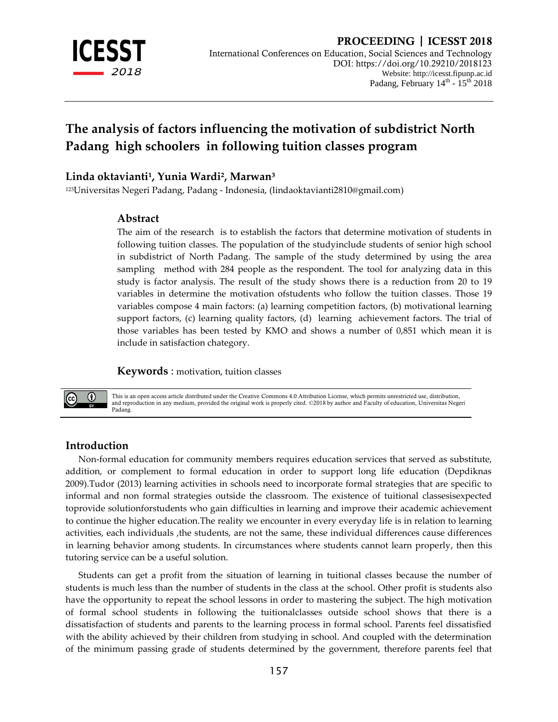

# **The analysis of factors influencing the motivation of subdistrict North Padang high schoolers in following tuition classes program**

### Linda oktavianti<sup>1</sup>, Yunia Wardi<sup>2</sup>, Marwan<sup>3</sup>

<sup>123</sup>Universitas Negeri Padang, Padang - Indonesia, [\(lindaoktavianti2810@gmail.com\)](mailto:lindaoktavianti2810@gmail.com)

## **Abstract**

The aim of the research is to establish the factors that determine motivation of students in following tuition classes. The population of the studyinclude students of senior high school in subdistrict of North Padang. The sample of the study determined by using the area sampling method with 284 people as the respondent. The tool for analyzing data in this study is factor analysis. The result of the study shows there is a reduction from 20 to 19 variables in determine the motivation ofstudents who follow the tuition classes. Those 19 variables compose 4 main factors: (a) learning competition factors, (b) motivational learning support factors, (c) learning quality factors, (d) learning achievement factors. The trial of those variables has been tested by KMO and shows a number of 0,851 which mean it is include in satisfaction chategory.

**Keywords** : motivation, tuition classes



This is an open access article distributed under the Creative Commons 4.0 Attribution License, which permits unrestricted use, distribution, and reproduction in any medium, provided the original work is properly cited. ©2018 by author and Faculty of education, Universitas Negeri Padang.

### **Introduction**

Non-formal education for community members requires education services that served as substitute, addition, or complement to formal education in order to support long life education (Depdiknas 2009).Tudor (2013) learning activities in schools need to incorporate formal strategies that are specific to informal and non formal strategies outside the classroom. The existence of tuitional classesisexpected toprovide solutionforstudents who gain difficulties in learning and improve their academic achievement to continue the higher education.The reality we encounter in every everyday life is in relation to learning activities, each individuals ,the students, are not the same, these individual differences cause differences in learning behavior among students. In circumstances where students cannot learn properly, then this tutoring service can be a useful solution.

Students can get a profit from the situation of learning in tuitional classes because the number of students is much less than the number of students in the class at the school. Other profit is students also have the opportunity to repeat the school lessons in order to mastering the subject. The high motivation of formal school students in following the tuitionalclasses outside school shows that there is a dissatisfaction of students and parents to the learning process in formal school. Parents feel dissatisfied with the ability achieved by their children from studying in school. And coupled with the determination of the minimum passing grade of students determined by the government, therefore parents feel that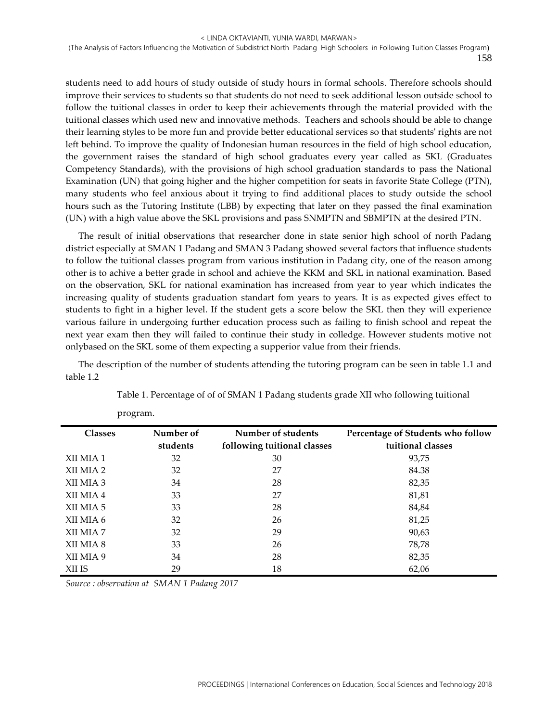students need to add hours of study outside of study hours in formal schools. Therefore schools should improve their services to students so that students do not need to seek additional lesson outside school to follow the tuitional classes in order to keep their achievements through the material provided with the tuitional classes which used new and innovative methods. Teachers and schools should be able to change their learning styles to be more fun and provide better educational services so that students' rights are not left behind. To improve the quality of Indonesian human resources in the field of high school education, the government raises the standard of high school graduates every year called as SKL (Graduates Competency Standards), with the provisions of high school graduation standards to pass the National Examination (UN) that going higher and the higher competition for seats in favorite State College (PTN), many students who feel anxious about it trying to find additional places to study outside the school hours such as the Tutoring Institute (LBB) by expecting that later on they passed the final examination (UN) with a high value above the SKL provisions and pass SNMPTN and SBMPTN at the desired PTN.

The result of initial observations that researcher done in state senior high school of north Padang district especially at SMAN 1 Padang and SMAN 3 Padang showed several factors that influence students to follow the tuitional classes program from various institution in Padang city, one of the reason among other is to achive a better grade in school and achieve the KKM and SKL in national examination. Based on the observation, SKL for national examination has increased from year to year which indicates the increasing quality of students graduation standart fom years to years. It is as expected gives effect to students to fight in a higher level. If the student gets a score below the SKL then they will experience various failure in undergoing further education process such as failing to finish school and repeat the next year exam then they will failed to continue their study in colledge. However students motive not onlybased on the SKL some of them expecting a supperior value from their friends.

The description of the number of students attending the tutoring program can be seen in table 1.1 and table 1.2

| <b>Classes</b> | Number of | Number of students          | Percentage of Students who follow |
|----------------|-----------|-----------------------------|-----------------------------------|
|                | students  | following tuitional classes | tuitional classes                 |
| XII MIA 1      | 32        | 30                          | 93,75                             |
| XII MIA 2      | 32        | 27                          | 84.38                             |
| XII MIA 3      | 34        | 28                          | 82,35                             |
| XII MIA 4      | 33        | 27                          | 81,81                             |
| XII MIA 5      | 33        | 28                          | 84,84                             |
| XII MIA 6      | 32        | 26                          | 81,25                             |
| XII MIA 7      | 32        | 29                          | 90,63                             |
| XII MIA 8      | 33        | 26                          | 78,78                             |
| XII MIA 9      | 34        | 28                          | 82,35                             |
| XII IS         | 29        | 18                          | 62,06                             |

Table 1. Percentage of of of SMAN 1 Padang students grade XII who following tuitional

*Source : observation at SMAN 1 Padang 2017*

program.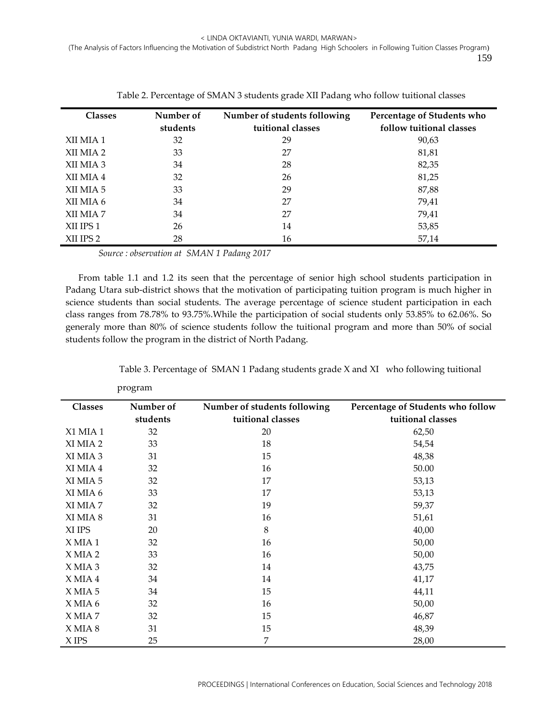| <b>Classes</b> | Number of<br>students | Number of students following<br>tuitional classes | Percentage of Students who<br>follow tuitional classes |
|----------------|-----------------------|---------------------------------------------------|--------------------------------------------------------|
| XII MIA 1      | 32                    | 29                                                | 90,63                                                  |
| XII MIA 2      | 33                    | 27                                                | 81,81                                                  |
| XII MIA 3      | 34                    | 28                                                | 82,35                                                  |
| XII MIA 4      | 32                    | 26                                                | 81,25                                                  |
| XII MIA 5      | 33                    | 29                                                | 87,88                                                  |
| XII MIA 6      | 34                    | 27                                                | 79,41                                                  |
| XII MIA 7      | 34                    | 27                                                | 79,41                                                  |
| XII IPS 1      | 26                    | 14                                                | 53,85                                                  |
| XII IPS 2      | 28                    | 16                                                | 57,14                                                  |

Table 2. Percentage of SMAN 3 students grade XII Padang who follow tuitional classes

*Source : observation at SMAN 1 Padang 2017*

From table 1.1 and 1.2 its seen that the percentage of senior high school students participation in Padang Utara sub-district shows that the motivation of participating tuition program is much higher in science students than social students. The average percentage of science student participation in each class ranges from 78.78% to 93.75%.While the participation of social students only 53.85% to 62.06%. So generaly more than 80% of science students follow the tuitional program and more than 50% of social students follow the program in the district of North Padang.

|  | Table 3. Percentage of SMAN 1 Padang students grade X and XI who following tuitional |  |
|--|--------------------------------------------------------------------------------------|--|
|--|--------------------------------------------------------------------------------------|--|

|                | л.<br>$\overline{\phantom{0}}$ |                                                   |                                                        |
|----------------|--------------------------------|---------------------------------------------------|--------------------------------------------------------|
| <b>Classes</b> | Number of<br>students          | Number of students following<br>tuitional classes | Percentage of Students who follow<br>tuitional classes |
| X1 MIA 1       | 32                             | 20                                                | 62,50                                                  |
| XI MIA 2       | 33                             | 18                                                | 54,54                                                  |
|                |                                |                                                   |                                                        |
| XI MIA 3       | 31                             | 15                                                | 48,38                                                  |
| XI MIA 4       | 32                             | 16                                                | 50.00                                                  |
| XI MIA 5       | 32                             | 17                                                | 53,13                                                  |
| XI MIA 6       | 33                             | 17                                                | 53,13                                                  |
| XI MIA 7       | 32                             | 19                                                | 59,37                                                  |
| XI MIA 8       | 31                             | 16                                                | 51,61                                                  |
| XI IPS         | 20                             | 8                                                 | 40,00                                                  |
| XMIA1          | 32                             | 16                                                | 50,00                                                  |
| X MIA 2        | 33                             | 16                                                | 50,00                                                  |
| X MIA 3        | 32                             | 14                                                | 43,75                                                  |
| X MIA 4        | 34                             | 14                                                | 41,17                                                  |
| XMIA 5         | 34                             | 15                                                | 44,11                                                  |
| XMIA 6         | 32                             | 16                                                | 50,00                                                  |
| X MIA 7        | 32                             | 15                                                | 46,87                                                  |
| X MIA 8        | 31                             | 15                                                | 48,39                                                  |
| X IPS          | 25                             | 7                                                 | 28,00                                                  |

program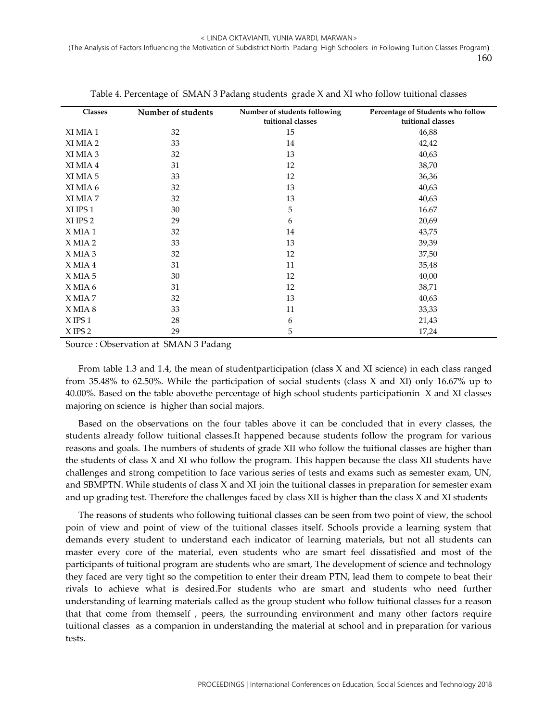| <b>Classes</b> | Number of students | Number of students following<br>tuitional classes | Percentage of Students who follow<br>tuitional classes |
|----------------|--------------------|---------------------------------------------------|--------------------------------------------------------|
| XI MIA 1       | 32                 | 15                                                | 46,88                                                  |
| XI MIA 2       | 33                 | 14                                                | 42,42                                                  |
| XI MIA 3       | 32                 | 13                                                | 40,63                                                  |
| XI MIA 4       | 31                 | 12                                                | 38,70                                                  |
| XI MIA 5       | 33                 | 12                                                | 36,36                                                  |
| XI MIA 6       | 32                 | 13                                                | 40,63                                                  |
| XI MIA 7       | 32                 | 13                                                | 40,63                                                  |
| XI IPS 1       | 30                 | 5                                                 | 16.67                                                  |
| XI IPS 2       | 29                 | 6                                                 | 20,69                                                  |
| X MIA 1        | 32                 | 14                                                | 43,75                                                  |
| X MIA 2        | 33                 | 13                                                | 39,39                                                  |
| X MIA 3        | 32                 | 12                                                | 37,50                                                  |
| $X$ MIA 4      | 31                 | 11                                                | 35,48                                                  |
| X MIA 5        | 30                 | 12                                                | 40,00                                                  |
| X MIA 6        | 31                 | 12                                                | 38,71                                                  |
| X MIA 7        | 32                 | 13                                                | 40,63                                                  |
| X MIA 8        | 33                 | 11                                                | 33,33                                                  |
| $X$ IPS 1      | 28                 | 6                                                 | 21,43                                                  |
| $X$ IPS 2      | 29                 | 5                                                 | 17,24                                                  |

Table 4. Percentage of SMAN 3 Padang students grade X and XI who follow tuitional classes

Source : Observation at SMAN 3 Padang

From table 1.3 and 1.4, the mean of studentparticipation (class X and XI science) in each class ranged from 35.48% to 62.50%. While the participation of social students (class X and XI) only 16.67% up to 40.00%. Based on the table abovethe percentage of high school students participationin X and XI classes majoring on science is higher than social majors.

Based on the observations on the four tables above it can be concluded that in every classes, the students already follow tuitional classes.It happened because students follow the program for various reasons and goals. The numbers of students of grade XII who follow the tuitional classes are higher than the students of class X and XI who follow the program. This happen because the class XII students have challenges and strong competition to face various series of tests and exams such as semester exam, UN, and SBMPTN. While students of class X and XI join the tuitional classes in preparation for semester exam and up grading test. Therefore the challenges faced by class XII is higher than the class X and XI students

The reasons of students who following tuitional classes can be seen from two point of view, the school poin of view and point of view of the tuitional classes itself. Schools provide a learning system that demands every student to understand each indicator of learning materials, but not all students can master every core of the material, even students who are smart feel dissatisfied and most of the participants of tuitional program are students who are smart, The development of science and technology they faced are very tight so the competition to enter their dream PTN, lead them to compete to beat their rivals to achieve what is desired.For students who are smart and students who need further understanding of learning materials called as the group student who follow tuitional classes for a reason that that come from themself , peers, the surrounding environment and many other factors require tuitional classes as a companion in understanding the material at school and in preparation for various tests.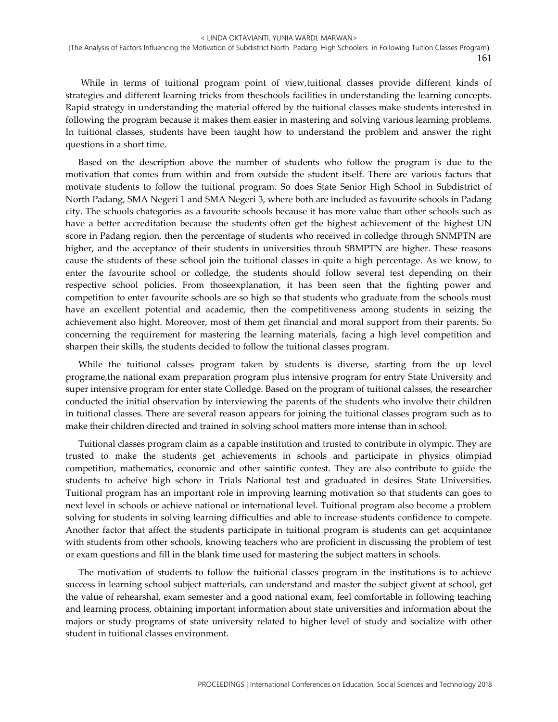While in terms of tuitional program point of view,tuitional classes provide different kinds of strategies and different learning tricks from theschools facilities in understanding the learning concepts. Rapid strategy in understanding the material offered by the tuitional classes make students interested in following the program because it makes them easier in mastering and solving various learning problems. In tuitional classes, students have been taught how to understand the problem and answer the right questions in a short time.

Based on the description above the number of students who follow the program is due to the motivation that comes from within and from outside the student itself. There are various factors that motivate students to follow the tuitional program. So does State Senior High School in Subdistrict of North Padang, SMA Negeri 1 and SMA Negeri 3, where both are included as favourite schools in Padang city. The schools chategories as a favourite schools because it has more value than other schools such as have a better accreditation because the students often get the highest achievement of the highest UN score in Padang region, then the percentage of students who received in colledge through SNMPTN are higher, and the acceptance of their students in universities throuh SBMPTN are higher. These reasons cause the students of these school join the tuitional classes in quite a high percentage. As we know, to enter the favourite school or colledge, the students should follow several test depending on their respective school policies. From thoseexplanation, it has been seen that the fighting power and competition to enter favourite schools are so high so that students who graduate from the schools must have an excellent potential and academic, then the competitiveness among students in seizing the achievement also hight. Moreover, most of them get financial and moral support from their parents. So concerning the requirement for mastering the learning materials, facing a high level competition and sharpen their skills, the students decided to follow the tuitional classes program.

While the tuitional calsses program taken by students is diverse, starting from the up level programe,the national exam preparation program plus intensive program for entry State University and super intensive program for enter state Colledge. Based on the program of tuitional calsses, the researcher conducted the initial observation by interviewing the parents of the students who involve their children in tuitional classes. There are several reason appears for joining the tuitional classes program such as to make their children directed and trained in solving school matters more intense than in school.

Tuitional classes program claim as a capable institution and trusted to contribute in olympic. They are trusted to make the students get achievements in schools and participate in physics olimpiad competition, mathematics, economic and other saintific contest. They are also contribute to guide the students to acheive high schore in Trials National test and graduated in desires State Universities. Tuitional program has an important role in improving learning motivation so that students can goes to next level in schools or achieve national or international level. Tuitional program also become a problem solving for students in solving learning difficulties and able to increase students confidence to compete. Another factor that affect the students participate in tuitional program is students can get acquintance with students from other schools, knowing teachers who are proficient in discussing the problem of test or exam questions and fill in the blank time used for mastering the subject matters in schools.

The motivation of students to follow the tuitional classes program in the institutions is to achieve success in learning school subject matterials, can understand and master the subject givent at school, get the value of rehearshal, exam semester and a good national exam, feel comfortable in following teaching and learning process, obtaining important information about state universities and information about the majors or study programs of state university related to higher level of study and socialize with other student in tuitional classes environment.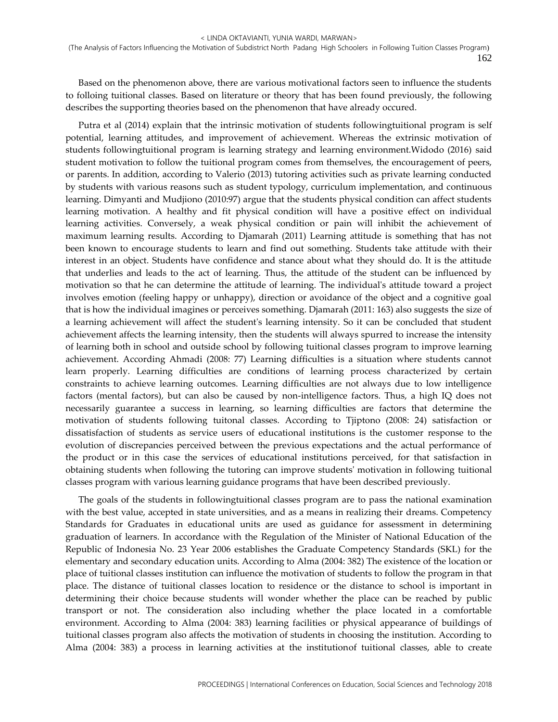Based on the phenomenon above, there are various motivational factors seen to influence the students to folloing tuitional classes. Based on literature or theory that has been found previously, the following describes the supporting theories based on the phenomenon that have already occured.

Putra et al (2014) explain that the intrinsic motivation of students followingtuitional program is self potential, learning attitudes, and improvement of achievement. Whereas the extrinsic motivation of students followingtuitional program is learning strategy and learning environment.Widodo (2016) said student motivation to follow the tuitional program comes from themselves, the encouragement of peers, or parents. In addition, according to Valerio (2013) tutoring activities such as private learning conducted by students with various reasons such as student typology, curriculum implementation, and continuous learning. Dimyanti and Mudjiono (2010:97) argue that the students physical condition can affect students learning motivation. A healthy and fit physical condition will have a positive effect on individual learning activities. Conversely, a weak physical condition or pain will inhibit the achievement of maximum learning results. According to Djamarah (2011) Learning attitude is something that has not been known to encourage students to learn and find out something. Students take attitude with their interest in an object. Students have confidence and stance about what they should do. It is the attitude that underlies and leads to the act of learning. Thus, the attitude of the student can be influenced by motivation so that he can determine the attitude of learning. The individual's attitude toward a project involves emotion (feeling happy or unhappy), direction or avoidance of the object and a cognitive goal that is how the individual imagines or perceives something. Djamarah (2011: 163) also suggests the size of a learning achievement will affect the student's learning intensity. So it can be concluded that student achievement affects the learning intensity, then the students will always spurred to increase the intensity of learning both in school and outside school by following tuitional classes program to improve learning achievement. According Ahmadi (2008: 77) Learning difficulties is a situation where students cannot learn properly. Learning difficulties are conditions of learning process characterized by certain constraints to achieve learning outcomes. Learning difficulties are not always due to low intelligence factors (mental factors), but can also be caused by non-intelligence factors. Thus, a high IQ does not necessarily guarantee a success in learning, so learning difficulties are factors that determine the motivation of students following tuitonal classes. According to Tjiptono (2008: 24) satisfaction or dissatisfaction of students as service users of educational institutions is the customer response to the evolution of discrepancies perceived between the previous expectations and the actual performance of the product or in this case the services of educational institutions perceived, for that satisfaction in obtaining students when following the tutoring can improve students' motivation in following tuitional classes program with various learning guidance programs that have been described previously.

The goals of the students in followingtuitional classes program are to pass the national examination with the best value, accepted in state universities, and as a means in realizing their dreams. Competency Standards for Graduates in educational units are used as guidance for assessment in determining graduation of learners. In accordance with the Regulation of the Minister of National Education of the Republic of Indonesia No. 23 Year 2006 establishes the Graduate Competency Standards (SKL) for the elementary and secondary education units. According to Alma (2004: 382) The existence of the location or place of tuitional classes institution can influence the motivation of students to follow the program in that place. The distance of tuitional classes location to residence or the distance to school is important in determining their choice because students will wonder whether the place can be reached by public transport or not. The consideration also including whether the place located in a comfortable environment. According to Alma (2004: 383) learning facilities or physical appearance of buildings of tuitional classes program also affects the motivation of students in choosing the institution. According to Alma (2004: 383) a process in learning activities at the institutionof tuitional classes, able to create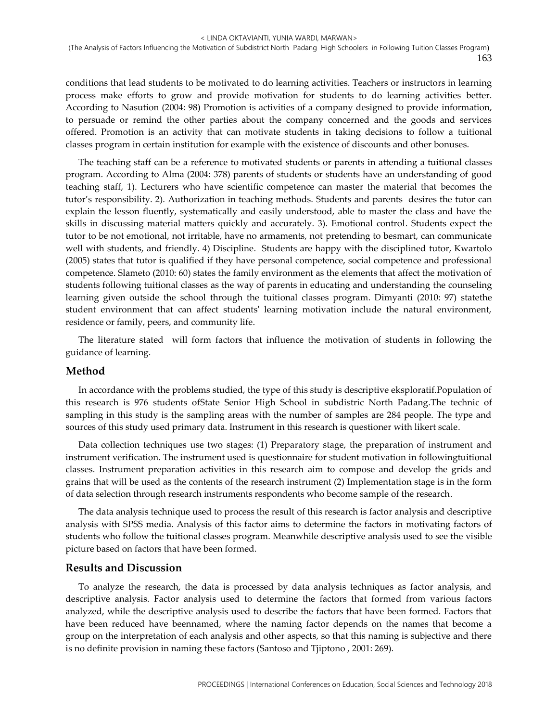conditions that lead students to be motivated to do learning activities. Teachers or instructors in learning process make efforts to grow and provide motivation for students to do learning activities better. According to Nasution (2004: 98) Promotion is activities of a company designed to provide information, to persuade or remind the other parties about the company concerned and the goods and services offered. Promotion is an activity that can motivate students in taking decisions to follow a tuitional classes program in certain institution for example with the existence of discounts and other bonuses.

The teaching staff can be a reference to motivated students or parents in attending a tuitional classes program. According to Alma (2004: 378) parents of students or students have an understanding of good teaching staff, 1). Lecturers who have scientific competence can master the material that becomes the tutor's responsibility. 2). Authorization in teaching methods. Students and parents desires the tutor can explain the lesson fluently, systematically and easily understood, able to master the class and have the skills in discussing material matters quickly and accurately. 3). Emotional control. Students expect the tutor to be not emotional, not irritable, have no armaments, not pretending to besmart, can communicate well with students, and friendly. 4) Discipline. Students are happy with the disciplined tutor, Kwartolo (2005) states that tutor is qualified if they have personal competence, social competence and professional competence. Slameto (2010: 60) states the family environment as the elements that affect the motivation of students following tuitional classes as the way of parents in educating and understanding the counseling learning given outside the school through the tuitional classes program. Dimyanti (2010: 97) statethe student environment that can affect students' learning motivation include the natural environment, residence or family, peers, and community life.

The literature stated will form factors that influence the motivation of students in following the guidance of learning.

### **Method**

In accordance with the problems studied, the type of this study is descriptive eksploratif.Population of this research is 976 students ofState Senior High School in subdistric North Padang.The technic of sampling in this study is the sampling areas with the number of samples are 284 people. The type and sources of this study used primary data. Instrument in this research is questioner with likert scale.

Data collection techniques use two stages: (1) Preparatory stage, the preparation of instrument and instrument verification. The instrument used is questionnaire for student motivation in followingtuitional classes. Instrument preparation activities in this research aim to compose and develop the grids and grains that will be used as the contents of the research instrument (2) Implementation stage is in the form of data selection through research instruments respondents who become sample of the research.

The data analysis technique used to process the result of this research is factor analysis and descriptive analysis with SPSS media. Analysis of this factor aims to determine the factors in motivating factors of students who follow the tuitional classes program. Meanwhile descriptive analysis used to see the visible picture based on factors that have been formed.

### **Results and Discussion**

To analyze the research, the data is processed by data analysis techniques as factor analysis, and descriptive analysis. Factor analysis used to determine the factors that formed from various factors analyzed, while the descriptive analysis used to describe the factors that have been formed. Factors that have been reduced have beennamed, where the naming factor depends on the names that become a group on the interpretation of each analysis and other aspects, so that this naming is subjective and there is no definite provision in naming these factors (Santoso and Tjiptono , 2001: 269).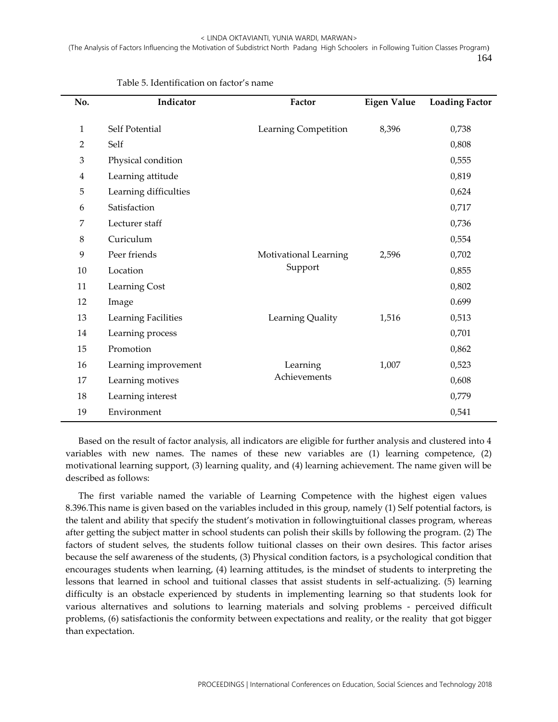| No.            | Indicator             | Factor                | <b>Eigen Value</b> | <b>Loading Factor</b> |
|----------------|-----------------------|-----------------------|--------------------|-----------------------|
|                |                       |                       |                    |                       |
| 1              | Self Potential        | Learning Competition  | 8,396              | 0,738                 |
| $\overline{2}$ | Self                  |                       |                    | 0,808                 |
| 3              | Physical condition    |                       |                    | 0,555                 |
| 4              | Learning attitude     |                       |                    | 0,819                 |
| 5              | Learning difficulties |                       |                    | 0,624                 |
| 6              | Satisfaction          |                       |                    | 0,717                 |
| 7              | Lecturer staff        |                       |                    | 0,736                 |
| 8              | Curiculum             |                       |                    | 0,554                 |
| 9              | Peer friends          | Motivational Learning | 2,596              | 0,702                 |
| 10             | Location              | Support               |                    | 0,855                 |
| 11             | Learning Cost         |                       |                    | 0,802                 |
| 12             | Image                 |                       |                    | 0.699                 |
| 13             | Learning Facilities   | Learning Quality      | 1,516              | 0,513                 |
| 14             | Learning process      |                       |                    | 0,701                 |
| 15             | Promotion             |                       |                    | 0,862                 |
| 16             | Learning improvement  | Learning              | 1,007              | 0,523                 |
| 17             | Learning motives      | Achievements          |                    | 0,608                 |
| 18             | Learning interest     |                       |                    | 0,779                 |
| 19             | Environment           |                       |                    | 0,541                 |

Table 5. Identification on factor's name

Based on the result of factor analysis, all indicators are eligible for further analysis and clustered into 4 variables with new names. The names of these new variables are (1) learning competence, (2) motivational learning support, (3) learning quality, and (4) learning achievement. The name given will be described as follows:

The first variable named the variable of Learning Competence with the highest eigen values 8.396.This name is given based on the variables included in this group, namely (1) Self potential factors, is the talent and ability that specify the student's motivation in followingtuitional classes program, whereas after getting the subject matter in school students can polish their skills by following the program. (2) The factors of student selves, the students follow tuitional classes on their own desires. This factor arises because the self awareness of the students, (3) Physical condition factors, is a psychological condition that encourages students when learning, (4) learning attitudes, is the mindset of students to interpreting the lessons that learned in school and tuitional classes that assist students in self-actualizing. (5) learning difficulty is an obstacle experienced by students in implementing learning so that students look for various alternatives and solutions to learning materials and solving problems - perceived difficult problems, (6) satisfactionis the conformity between expectations and reality, or the reality that got bigger than expectation.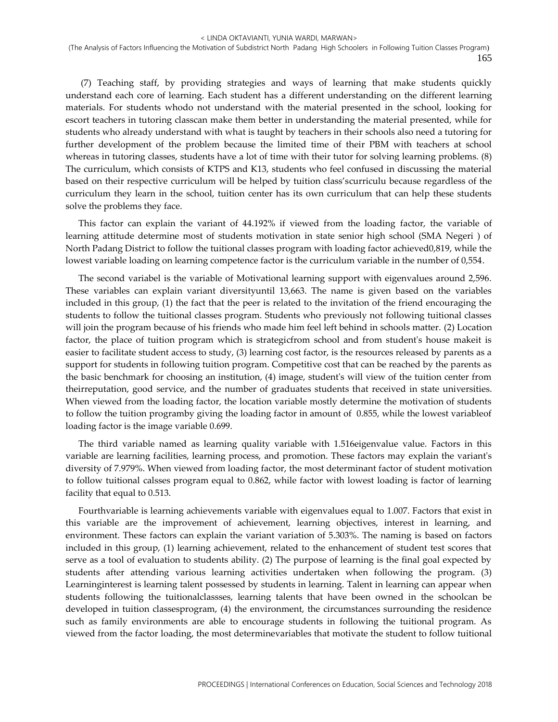(7) Teaching staff, by providing strategies and ways of learning that make students quickly understand each core of learning. Each student has a different understanding on the different learning materials. For students whodo not understand with the material presented in the school, looking for escort teachers in tutoring classcan make them better in understanding the material presented, while for students who already understand with what is taught by teachers in their schools also need a tutoring for further development of the problem because the limited time of their PBM with teachers at school whereas in tutoring classes, students have a lot of time with their tutor for solving learning problems. (8) The curriculum, which consists of KTPS and K13, students who feel confused in discussing the material based on their respective curriculum will be helped by tuition class'scurriculu because regardless of the curriculum they learn in the school, tuition center has its own curriculum that can help these students solve the problems they face.

This factor can explain the variant of 44.192% if viewed from the loading factor, the variable of learning attitude determine most of students motivation in state senior high school (SMA Negeri ) of North Padang District to follow the tuitional classes program with loading factor achieved0,819, while the lowest variable loading on learning competence factor is the curriculum variable in the number of 0,554.

The second variabel is the variable of Motivational learning support with eigenvalues around 2,596. These variables can explain variant diversityuntil 13,663. The name is given based on the variables included in this group, (1) the fact that the peer is related to the invitation of the friend encouraging the students to follow the tuitional classes program. Students who previously not following tuitional classes will join the program because of his friends who made him feel left behind in schools matter. (2) Location factor, the place of tuition program which is strategicfrom school and from student's house makeit is easier to facilitate student access to study, (3) learning cost factor, is the resources released by parents as a support for students in following tuition program. Competitive cost that can be reached by the parents as the basic benchmark for choosing an institution, (4) image, student's will view of the tuition center from theirreputation, good service, and the number of graduates students that received in state universities. When viewed from the loading factor, the location variable mostly determine the motivation of students to follow the tuition programby giving the loading factor in amount of 0.855, while the lowest variableof loading factor is the image variable 0.699.

The third variable named as learning quality variable with 1.516eigenvalue value. Factors in this variable are learning facilities, learning process, and promotion. These factors may explain the variant's diversity of 7.979%. When viewed from loading factor, the most determinant factor of student motivation to follow tuitional calsses program equal to 0.862, while factor with lowest loading is factor of learning facility that equal to 0.513.

Fourthvariable is learning achievements variable with eigenvalues equal to 1.007. Factors that exist in this variable are the improvement of achievement, learning objectives, interest in learning, and environment. These factors can explain the variant variation of 5.303%. The naming is based on factors included in this group, (1) learning achievement, related to the enhancement of student test scores that serve as a tool of evaluation to students ability. (2) The purpose of learning is the final goal expected by students after attending various learning activities undertaken when following the program. (3) Learninginterest is learning talent possessed by students in learning. Talent in learning can appear when students following the tuitionalclassses, learning talents that have been owned in the schoolcan be developed in tuition classesprogram, (4) the environment, the circumstances surrounding the residence such as family environments are able to encourage students in following the tuitional program. As viewed from the factor loading, the most determinevariables that motivate the student to follow tuitional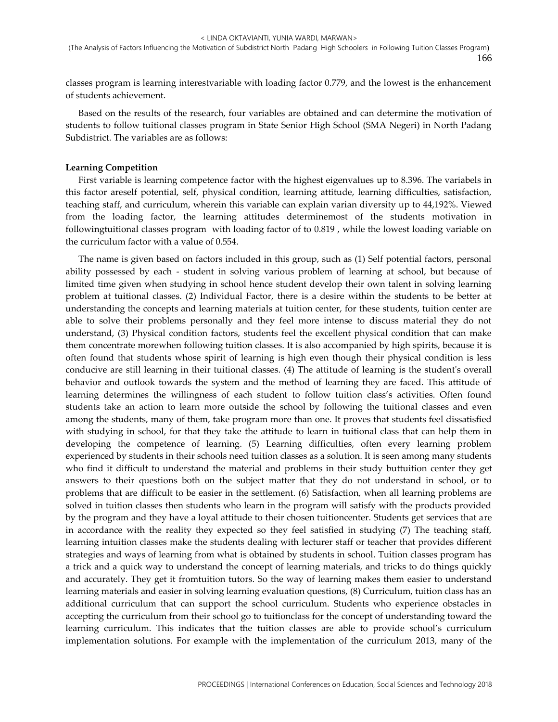classes program is learning interestvariable with loading factor 0.779, and the lowest is the enhancement of students achievement.

Based on the results of the research, four variables are obtained and can determine the motivation of students to follow tuitional classes program in State Senior High School (SMA Negeri) in North Padang Subdistrict. The variables are as follows:

#### **Learning Competition**

First variable is learning competence factor with the highest eigenvalues up to 8.396. The variabels in this factor areself potential, self, physical condition, learning attitude, learning difficulties, satisfaction, teaching staff, and curriculum, wherein this variable can explain varian diversity up to 44,192%. Viewed from the loading factor, the learning attitudes determinemost of the students motivation in followingtuitional classes program with loading factor of to 0.819 , while the lowest loading variable on the curriculum factor with a value of 0.554.

The name is given based on factors included in this group, such as (1) Self potential factors, personal ability possessed by each - student in solving various problem of learning at school, but because of limited time given when studying in school hence student develop their own talent in solving learning problem at tuitional classes. (2) Individual Factor, there is a desire within the students to be better at understanding the concepts and learning materials at tuition center, for these students, tuition center are able to solve their problems personally and they feel more intense to discuss material they do not understand, (3) Physical condition factors, students feel the excellent physical condition that can make them concentrate morewhen following tuition classes. It is also accompanied by high spirits, because it is often found that students whose spirit of learning is high even though their physical condition is less conducive are still learning in their tuitional classes. (4) The attitude of learning is the student's overall behavior and outlook towards the system and the method of learning they are faced. This attitude of learning determines the willingness of each student to follow tuition class's activities. Often found students take an action to learn more outside the school by following the tuitional classes and even among the students, many of them, take program more than one. It proves that students feel dissatisfied with studying in school, for that they take the attitude to learn in tuitional class that can help them in developing the competence of learning. (5) Learning difficulties, often every learning problem experienced by students in their schools need tuition classes as a solution. It is seen among many students who find it difficult to understand the material and problems in their study buttuition center they get answers to their questions both on the subject matter that they do not understand in school, or to problems that are difficult to be easier in the settlement. (6) Satisfaction, when all learning problems are solved in tuition classes then students who learn in the program will satisfy with the products provided by the program and they have a loyal attitude to their chosen tuitioncenter. Students get services that are in accordance with the reality they expected so they feel satisfied in studying (7) The teaching staff, learning intuition classes make the students dealing with lecturer staff or teacher that provides different strategies and ways of learning from what is obtained by students in school. Tuition classes program has a trick and a quick way to understand the concept of learning materials, and tricks to do things quickly and accurately. They get it fromtuition tutors. So the way of learning makes them easier to understand learning materials and easier in solving learning evaluation questions, (8) Curriculum, tuition class has an additional curriculum that can support the school curriculum. Students who experience obstacles in accepting the curriculum from their school go to tuitionclass for the concept of understanding toward the learning curriculum. This indicates that the tuition classes are able to provide school's curriculum implementation solutions. For example with the implementation of the curriculum 2013, many of the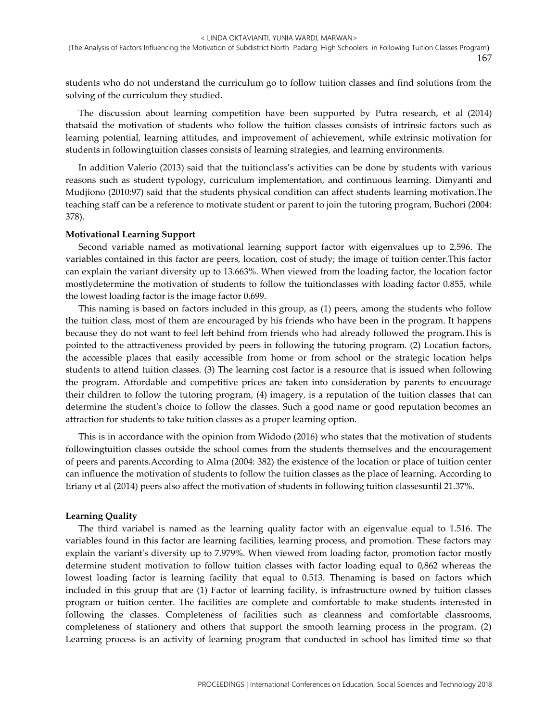students who do not understand the curriculum go to follow tuition classes and find solutions from the solving of the curriculum they studied.

The discussion about learning competition have been supported by Putra research, et al (2014) thatsaid the motivation of students who follow the tuition classes consists of intrinsic factors such as learning potential, learning attitudes, and improvement of achievement, while extrinsic motivation for students in followingtuition classes consists of learning strategies, and learning environments.

In addition Valerio (2013) said that the tuitionclass's activities can be done by students with various reasons such as student typology, curriculum implementation, and continuous learning. Dimyanti and Mudjiono (2010:97) said that the students physical condition can affect students learning motivation.The teaching staff can be a reference to motivate student or parent to join the tutoring program, Buchori (2004: 378).

#### **Motivational Learning Support**

Second variable named as motivational learning support factor with eigenvalues up to 2,596. The variables contained in this factor are peers, location, cost of study; the image of tuition center.This factor can explain the variant diversity up to 13.663%. When viewed from the loading factor, the location factor mostlydetermine the motivation of students to follow the tuitionclasses with loading factor 0.855, while the lowest loading factor is the image factor 0.699.

This naming is based on factors included in this group, as (1) peers, among the students who follow the tuition class, most of them are encouraged by his friends who have been in the program. It happens because they do not want to feel left behind from friends who had already followed the program.This is pointed to the attractiveness provided by peers in following the tutoring program. (2) Location factors, the accessible places that easily accessible from home or from school or the strategic location helps students to attend tuition classes. (3) The learning cost factor is a resource that is issued when following the program. Affordable and competitive prices are taken into consideration by parents to encourage their children to follow the tutoring program, (4) imagery, is a reputation of the tuition classes that can determine the student's choice to follow the classes. Such a good name or good reputation becomes an attraction for students to take tuition classes as a proper learning option.

This is in accordance with the opinion from Widodo (2016) who states that the motivation of students followingtuition classes outside the school comes from the students themselves and the encouragement of peers and parents.According to Alma (2004: 382) the existence of the location or place of tuition center can influence the motivation of students to follow the tuition classes as the place of learning. According to Eriany et al (2014) peers also affect the motivation of students in following tuition classesuntil 21.37%.

#### **Learning Quality**

The third variabel is named as the learning quality factor with an eigenvalue equal to 1.516. The variables found in this factor are learning facilities, learning process, and promotion. These factors may explain the variant's diversity up to 7.979%. When viewed from loading factor, promotion factor mostly determine student motivation to follow tuition classes with factor loading equal to 0,862 whereas the lowest loading factor is learning facility that equal to 0.513. Thenaming is based on factors which included in this group that are (1) Factor of learning facility, is infrastructure owned by tuition classes program or tuition center. The facilities are complete and comfortable to make students interested in following the classes. Completeness of facilities such as cleanness and comfortable classrooms, completeness of stationery and others that support the smooth learning process in the program. (2) Learning process is an activity of learning program that conducted in school has limited time so that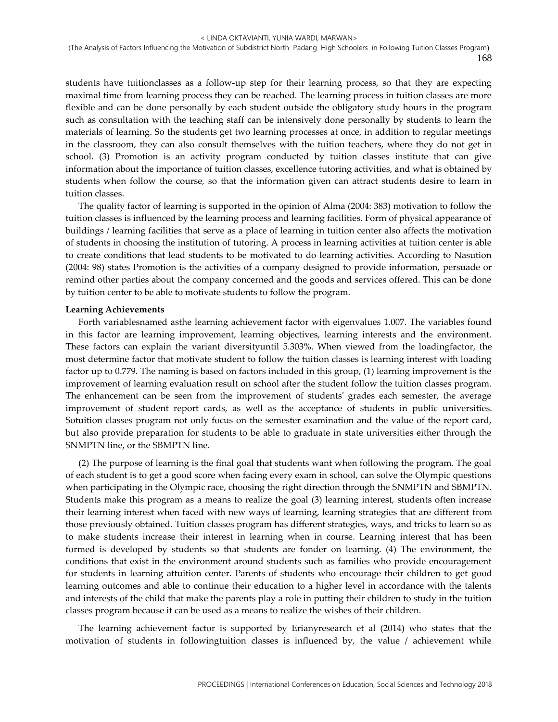students have tuitionclasses as a follow-up step for their learning process, so that they are expecting maximal time from learning process they can be reached. The learning process in tuition classes are more flexible and can be done personally by each student outside the obligatory study hours in the program such as consultation with the teaching staff can be intensively done personally by students to learn the materials of learning. So the students get two learning processes at once, in addition to regular meetings in the classroom, they can also consult themselves with the tuition teachers, where they do not get in school. (3) Promotion is an activity program conducted by tuition classes institute that can give information about the importance of tuition classes, excellence tutoring activities, and what is obtained by students when follow the course, so that the information given can attract students desire to learn in tuition classes.

The quality factor of learning is supported in the opinion of Alma (2004: 383) motivation to follow the tuition classes is influenced by the learning process and learning facilities. Form of physical appearance of buildings / learning facilities that serve as a place of learning in tuition center also affects the motivation of students in choosing the institution of tutoring. A process in learning activities at tuition center is able to create conditions that lead students to be motivated to do learning activities. According to Nasution (2004: 98) states Promotion is the activities of a company designed to provide information, persuade or remind other parties about the company concerned and the goods and services offered. This can be done by tuition center to be able to motivate students to follow the program.

### **Learning Achievements**

Forth variablesnamed asthe learning achievement factor with eigenvalues 1.007. The variables found in this factor are learning improvement, learning objectives, learning interests and the environment. These factors can explain the variant diversityuntil 5.303%. When viewed from the loadingfactor, the most determine factor that motivate student to follow the tuition classes is learning interest with loading factor up to 0.779. The naming is based on factors included in this group, (1) learning improvement is the improvement of learning evaluation result on school after the student follow the tuition classes program. The enhancement can be seen from the improvement of students' grades each semester, the average improvement of student report cards, as well as the acceptance of students in public universities. Sotuition classes program not only focus on the semester examination and the value of the report card, but also provide preparation for students to be able to graduate in state universities either through the SNMPTN line, or the SBMPTN line.

(2) The purpose of learning is the final goal that students want when following the program. The goal of each student is to get a good score when facing every exam in school, can solve the Olympic questions when participating in the Olympic race, choosing the right direction through the SNMPTN and SBMPTN. Students make this program as a means to realize the goal (3) learning interest, students often increase their learning interest when faced with new ways of learning, learning strategies that are different from those previously obtained. Tuition classes program has different strategies, ways, and tricks to learn so as to make students increase their interest in learning when in course. Learning interest that has been formed is developed by students so that students are fonder on learning. (4) The environment, the conditions that exist in the environment around students such as families who provide encouragement for students in learning attuition center. Parents of students who encourage their children to get good learning outcomes and able to continue their education to a higher level in accordance with the talents and interests of the child that make the parents play a role in putting their children to study in the tuition classes program because it can be used as a means to realize the wishes of their children.

The learning achievement factor is supported by Erianyresearch et al (2014) who states that the motivation of students in followingtuition classes is influenced by, the value / achievement while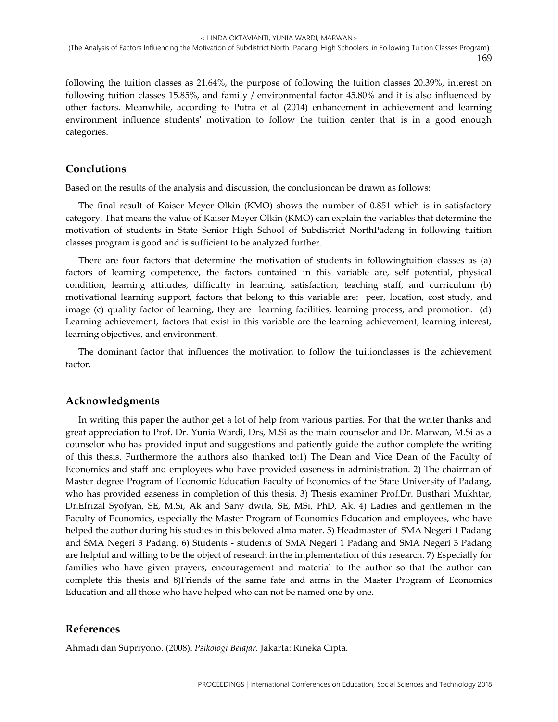following the tuition classes as 21.64%, the purpose of following the tuition classes 20.39%, interest on following tuition classes 15.85%, and family / environmental factor 45.80% and it is also influenced by other factors. Meanwhile, according to Putra et al (2014) enhancement in achievement and learning environment influence students' motivation to follow the tuition center that is in a good enough categories.

### **Conclutions**

Based on the results of the analysis and discussion, the conclusioncan be drawn as follows:

The final result of Kaiser Meyer Olkin (KMO) shows the number of 0.851 which is in satisfactory category. That means the value of Kaiser Meyer Olkin (KMO) can explain the variables that determine the motivation of students in State Senior High School of Subdistrict NorthPadang in following tuition classes program is good and is sufficient to be analyzed further.

There are four factors that determine the motivation of students in followingtuition classes as (a) factors of learning competence, the factors contained in this variable are, self potential, physical condition, learning attitudes, difficulty in learning, satisfaction, teaching staff, and curriculum (b) motivational learning support, factors that belong to this variable are: peer, location, cost study, and image (c) quality factor of learning, they are learning facilities, learning process, and promotion. (d) Learning achievement, factors that exist in this variable are the learning achievement, learning interest, learning objectives, and environment.

The dominant factor that influences the motivation to follow the tuitionclasses is the achievement factor.

# **Acknowledgments**

In writing this paper the author get a lot of help from various parties. For that the writer thanks and great appreciation to Prof. Dr. Yunia Wardi, Drs, M.Si as the main counselor and Dr. Marwan, M.Si as a counselor who has provided input and suggestions and patiently guide the author complete the writing of this thesis. Furthermore the authors also thanked to:1) The Dean and Vice Dean of the Faculty of Economics and staff and employees who have provided easeness in administration. 2) The chairman of Master degree Program of Economic Education Faculty of Economics of the State University of Padang, who has provided easeness in completion of this thesis. 3) Thesis examiner Prof.Dr. Busthari Mukhtar, Dr.Efrizal Syofyan, SE, M.Si, Ak and Sany dwita, SE, MSi, PhD, Ak. 4) Ladies and gentlemen in the Faculty of Economics, especially the Master Program of Economics Education and employees, who have helped the author during his studies in this beloved alma mater. 5) Headmaster of SMA Negeri 1 Padang and SMA Negeri 3 Padang. 6) Students - students of SMA Negeri 1 Padang and SMA Negeri 3 Padang are helpful and willing to be the object of research in the implementation of this research. 7) Especially for families who have given prayers, encouragement and material to the author so that the author can complete this thesis and 8)Friends of the same fate and arms in the Master Program of Economics Education and all those who have helped who can not be named one by one.

### **References**

Ahmadi dan Supriyono. (2008). *Psikologi Belajar.* Jakarta: Rineka Cipta.